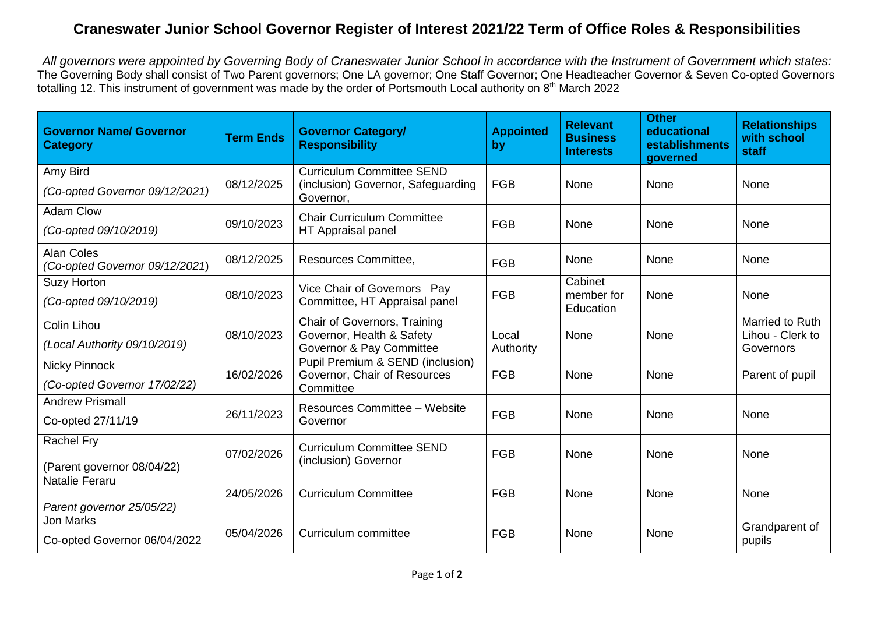## **Craneswater Junior School Governor Register of Interest 2021/22 Term of Office Roles & Responsibilities**

All governors were appointed by Governing Body of Craneswater Junior School in accordance with the Instrument of Government which states: The Governing Body shall consist of Two Parent governors; One LA governor; One Staff Governor; One Headteacher Governor & Seven Co-opted Governors totalling 12. This instrument of government was made by the order of Portsmouth Local authority on 8<sup>th</sup> March 2022

| <b>Governor Name/ Governor</b><br><b>Category</b>   | <b>Term Ends</b> | <b>Governor Category/</b><br><b>Responsibility</b>                                    | <b>Appointed</b><br>by | <b>Relevant</b><br><b>Business</b><br><b>Interests</b> | <b>Other</b><br>educational<br>establishments<br>governed | <b>Relationships</b><br>with school<br>staff |
|-----------------------------------------------------|------------------|---------------------------------------------------------------------------------------|------------------------|--------------------------------------------------------|-----------------------------------------------------------|----------------------------------------------|
| Amy Bird                                            | 08/12/2025       | <b>Curriculum Committee SEND</b><br>(inclusion) Governor, Safeguarding                | <b>FGB</b>             | None                                                   | None                                                      | None                                         |
| (Co-opted Governor 09/12/2021)                      |                  | Governor,                                                                             |                        |                                                        |                                                           |                                              |
| <b>Adam Clow</b>                                    | 09/10/2023       | <b>Chair Curriculum Committee</b><br>HT Appraisal panel                               | <b>FGB</b>             | None                                                   | None                                                      | None                                         |
| (Co-opted 09/10/2019)                               |                  |                                                                                       |                        |                                                        |                                                           |                                              |
| <b>Alan Coles</b><br>(Co-opted Governor 09/12/2021) | 08/12/2025       | <b>Resources Committee,</b>                                                           | <b>FGB</b>             | None                                                   | None                                                      | None                                         |
| <b>Suzy Horton</b>                                  | 08/10/2023       | Vice Chair of Governors Pay<br>Committee, HT Appraisal panel                          | <b>FGB</b>             | Cabinet<br>member for<br>Education                     | None                                                      | None                                         |
| (Co-opted 09/10/2019)                               |                  |                                                                                       |                        |                                                        |                                                           |                                              |
| Colin Lihou                                         | 08/10/2023       | Chair of Governors, Training<br>Governor, Health & Safety<br>Governor & Pay Committee | Local<br>Authority     | None                                                   | None                                                      | Married to Ruth<br>Lihou - Clerk to          |
| (Local Authority 09/10/2019)                        |                  |                                                                                       |                        |                                                        |                                                           | Governors                                    |
| <b>Nicky Pinnock</b>                                | 16/02/2026       | Pupil Premium & SEND (inclusion)<br>Governor, Chair of Resources<br>Committee         | <b>FGB</b>             | None                                                   | None                                                      | Parent of pupil                              |
| (Co-opted Governor 17/02/22)                        |                  |                                                                                       |                        |                                                        |                                                           |                                              |
| <b>Andrew Prismall</b>                              | 26/11/2023       | <b>Resources Committee - Website</b><br>Governor                                      | <b>FGB</b>             | None                                                   | None                                                      | None                                         |
| Co-opted 27/11/19                                   |                  |                                                                                       |                        |                                                        |                                                           |                                              |
| <b>Rachel Fry</b>                                   | 07/02/2026       | <b>Curriculum Committee SEND</b><br>(inclusion) Governor                              | <b>FGB</b>             | None                                                   | None                                                      | None                                         |
| (Parent governor 08/04/22)                          |                  |                                                                                       |                        |                                                        |                                                           |                                              |
| <b>Natalie Feraru</b>                               | 24/05/2026       | <b>Curriculum Committee</b>                                                           | <b>FGB</b>             | None                                                   | None                                                      | None                                         |
| Parent governor 25/05/22)                           |                  |                                                                                       |                        |                                                        |                                                           |                                              |
| <b>Jon Marks</b>                                    | 05/04/2026       | Curriculum committee                                                                  | <b>FGB</b>             | None                                                   |                                                           | Grandparent of                               |
| Co-opted Governor 06/04/2022                        |                  |                                                                                       |                        |                                                        | None                                                      | pupils                                       |